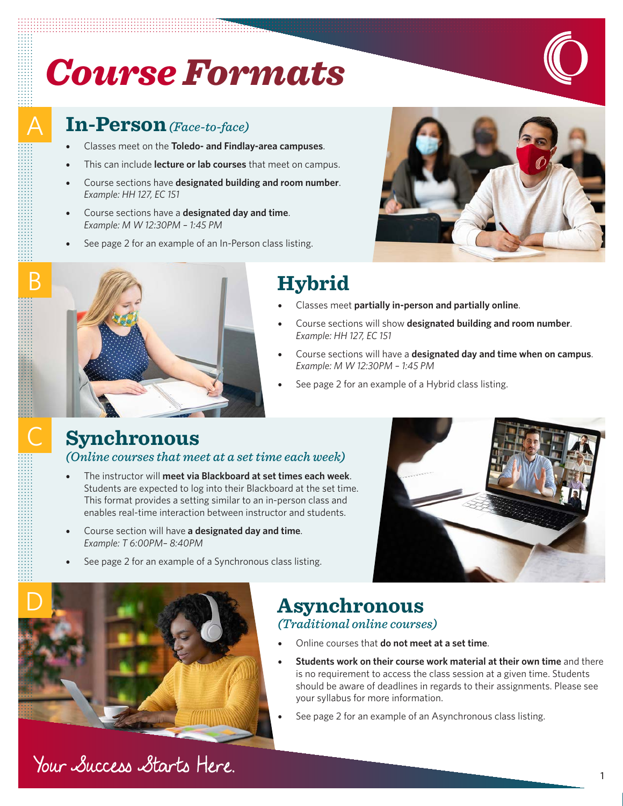# *Course Formats*

### **In-Person***(Face-to-face)*

A

B

- Classes meet on the **Toledo- and Findlay-area campuses**.
- This can include **lecture or lab courses** that meet on campus.
- Course sections have **designated building and room number**. *Example: HH 127, EC 151*
- Course sections have a **designated day and time**. *Example: M W 12:30PM – 1:45 PM*
- See page 2 for an example of an In-Person class listing.





## **Hybrid**

- Classes meet **partially in-person and partially online**.
- Course sections will show **designated building and room number**. *Example: HH 127, EC 151*
- Course sections will have a **designated day and time when on campus**. *Example: M W 12:30PM – 1:45 PM*
- See page 2 for an example of a Hybrid class listing.

#### **Synchronous**

*(Online courses that meet at a set time each week)* 

- The instructor will **meet via Blackboard at set times each week**. Students are expected to log into their Blackboard at the set time. This format provides a setting similar to an in-person class and enables real-time interaction between instructor and students.
- Course section will have **a designated day and time**. *Example: T 6:00PM– 8:40PM*
- See page 2 for an example of a Synchronous class listing.





Your Success Starts Here.

#### **Asynchronous**  *(Traditional online courses)*

- Online courses that **do not meet at a set time**.
- **Students work on their course work material at their own time** and there is no requirement to access the class session at a given time. Students should be aware of deadlines in regards to their assignments. Please see your syllabus for more information.
- See page 2 for an example of an Asynchronous class listing.

1